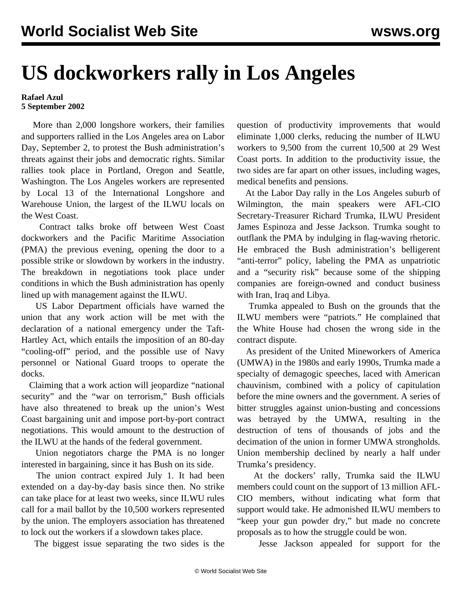## **US dockworkers rally in Los Angeles**

## **Rafael Azul 5 September 2002**

 More than 2,000 longshore workers, their families and supporters rallied in the Los Angeles area on Labor Day, September 2, to protest the Bush administration's threats against their jobs and democratic rights. Similar rallies took place in Portland, Oregon and Seattle, Washington. The Los Angeles workers are represented by Local 13 of the International Longshore and Warehouse Union, the largest of the ILWU locals on the West Coast.

 Contract talks broke off between West Coast dockworkers and the Pacific Maritime Association (PMA) the previous evening, opening the door to a possible strike or slowdown by workers in the industry. The breakdown in negotiations took place under conditions in which the Bush administration has openly lined up with management against the ILWU.

 US Labor Department officials have warned the union that any work action will be met with the declaration of a national emergency under the Taft-Hartley Act, which entails the imposition of an 80-day "cooling-off" period, and the possible use of Navy personnel or National Guard troops to operate the docks.

 Claiming that a work action will jeopardize "national security" and the "war on terrorism," Bush officials have also threatened to break up the union's West Coast bargaining unit and impose port-by-port contract negotiations. This would amount to the destruction of the ILWU at the hands of the federal government.

 Union negotiators charge the PMA is no longer interested in bargaining, since it has Bush on its side.

 The union contract expired July 1. It had been extended on a day-by-day basis since then. No strike can take place for at least two weeks, since ILWU rules call for a mail ballot by the 10,500 workers represented by the union. The employers association has threatened to lock out the workers if a slowdown takes place.

The biggest issue separating the two sides is the

question of productivity improvements that would eliminate 1,000 clerks, reducing the number of ILWU workers to 9,500 from the current 10,500 at 29 West Coast ports. In addition to the productivity issue, the two sides are far apart on other issues, including wages, medical benefits and pensions.

 At the Labor Day rally in the Los Angeles suburb of Wilmington, the main speakers were AFL-CIO Secretary-Treasurer Richard Trumka, ILWU President James Espinoza and Jesse Jackson. Trumka sought to outflank the PMA by indulging in flag-waving rhetoric. He embraced the Bush administration's belligerent "anti-terror" policy, labeling the PMA as unpatriotic and a "security risk" because some of the shipping companies are foreign-owned and conduct business with Iran, Iraq and Libya.

 Trumka appealed to Bush on the grounds that the ILWU members were "patriots." He complained that the White House had chosen the wrong side in the contract dispute.

 As president of the United Mineworkers of America (UMWA) in the 1980s and early 1990s, Trumka made a specialty of demagogic speeches, laced with American chauvinism, combined with a policy of capitulation before the mine owners and the government. A series of bitter struggles against union-busting and concessions was betrayed by the UMWA, resulting in the destruction of tens of thousands of jobs and the decimation of the union in former UMWA strongholds. Union membership declined by nearly a half under Trumka's presidency.

 At the dockers' rally, Trumka said the ILWU members could count on the support of 13 million AFL-CIO members, without indicating what form that support would take. He admonished ILWU members to "keep your gun powder dry," but made no concrete proposals as to how the struggle could be won.

Jesse Jackson appealed for support for the